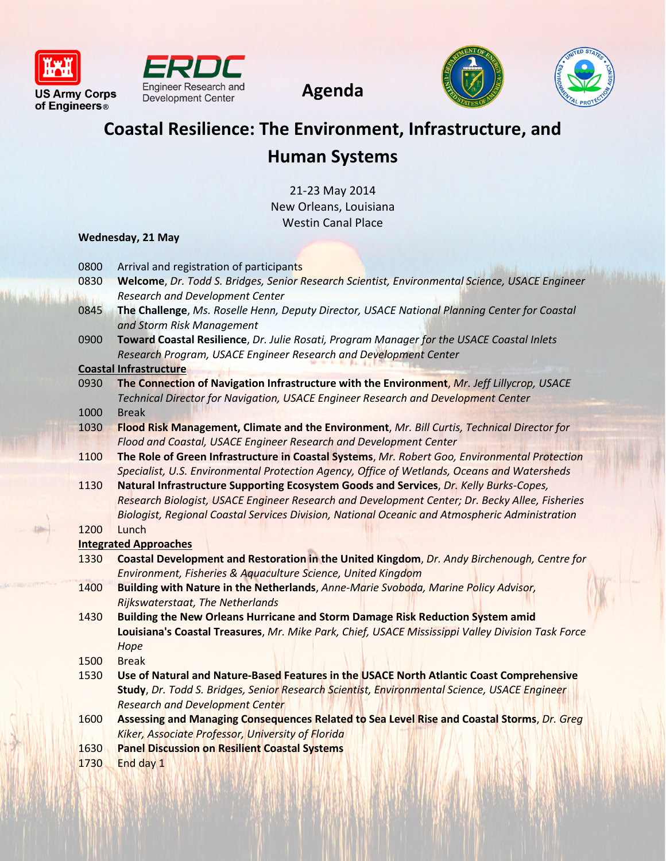







# **Coastal Resilience: The Environment, Infrastructure, and Human Systems**

**Agenda**

21-23 May 2014 New Orleans, Louisiana Westin Canal Place

## **Wednesday, 21 May**

- 0800 Arrival and registration of participants
- 0830 **Welcome**, *Dr. Todd S. Bridges, Senior Research Scientist, Environmental Science, USACE Engineer Research and Development Center*
- 0845 **The Challenge**, *Ms. Roselle Henn, Deputy Director, USACE National Planning Center for Coastal and Storm Risk Management*
- 0900 **Toward Coastal Resilience**, *Dr. Julie Rosati, Program Manager for the USACE Coastal Inlets Research Program, USACE Engineer Research and Development Center*

#### **Coastal Infrastructure**

- 0930 **The Connection of Navigation Infrastructure with the Environment**, *Mr. Jeff Lillycrop, USACE Technical Director for Navigation, USACE Engineer Research and Development Center* 1000 Break
- 1030 **Flood Risk Management, Climate and the Environment**, *Mr. Bill Curtis, Technical Director for Flood and Coastal, USACE Engineer Research and Development Center*
- 1100 **The Role of Green Infrastructure in Coastal Systems**, *Mr. Robert Goo, Environmental Protection Specialist, U.S. Environmental Protection Agency, Office of Wetlands, Oceans and Watersheds*
- 1130 **Natural Infrastructure Supporting Ecosystem Goods and Services**, *Dr. Kelly Burks-Copes, Research Biologist, USACE Engineer Research and Development Center; Dr. Becky Allee, Fisheries Biologist, Regional Coastal Services Division, National Oceanic and Atmospheric Administration*

## 1200 Lunch

## **Integrated Approaches**

- 1330 **Coastal Development and Restoration in the United Kingdom**, *Dr. Andy Birchenough, Centre for Environment, Fisheries & Aquaculture Science, United Kingdom*
- 1400 **Building with Nature in the Netherlands**, *Anne-Marie Svoboda, Marine Policy Advisor, Rijkswaterstaat, The Netherlands*
- 1430 **Building the New Orleans Hurricane and Storm Damage Risk Reduction System amid Louisiana's Coastal Treasures**, *Mr. Mike Park, Chief, USACE Mississippi Valley Division Task Force Hope*
- 1500 Break
- 1530 **Use of Natural and Nature-Based Features in the USACE North Atlantic Coast Comprehensive Study**, *Dr. Todd S. Bridges, Senior Research Scientist, Environmental Science, USACE Engineer Research and Development Center*
- 1600 **Assessing and Managing Consequences Related to Sea Level Rise and Coastal Storms**, *Dr. Greg Kiker, Associate Professor, University of Florida*
- 1630 **Panel Discussion on Resilient Coastal Systems**
- 1730 End day 1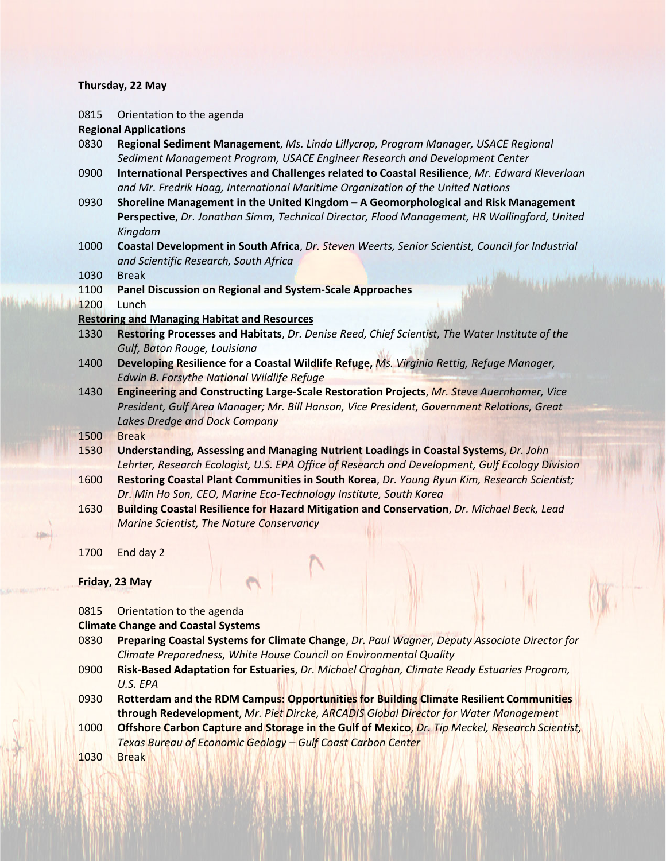#### **Thursday, 22 May**

0815 Orientation to the agenda

#### **Regional Applications**

- 0830 **Regional Sediment Management**, *Ms. Linda Lillycrop, Program Manager, USACE Regional Sediment Management Program, USACE Engineer Research and Development Center*
- 0900 **International Perspectives and Challenges related to Coastal Resilience**, *Mr. Edward Kleverlaan and Mr. Fredrik Haag, International Maritime Organization of the United Nations*
- 0930 **Shoreline Management in the United Kingdom – A Geomorphological and Risk Management Perspective**, *Dr. Jonathan Simm, Technical Director, Flood Management, HR Wallingford, United Kingdom*
- 1000 **Coastal Development in South Africa**, *Dr. Steven Weerts, Senior Scientist, Council for Industrial and Scientific Research, South Africa*
- 1030 Break
- 1100 **Panel Discussion on Regional and System-Scale Approaches**
- 1200 Lunch

#### **Restoring and Managing Habitat and Resources**

- 1330 **Restoring Processes and Habitats**, *Dr. Denise Reed, Chief Scientist, The Water Institute of the Gulf, Baton Rouge, Louisiana*
- 1400 **Developing Resilience for a Coastal Wildlife Refuge,** *Ms. Virginia Rettig, Refuge Manager, Edwin B. Forsythe National Wildlife Refuge*
- 1430 **Engineering and Constructing Large-Scale Restoration Projects**, *Mr. Steve Auernhamer, Vice President, Gulf Area Manager; Mr. Bill Hanson, Vice President, Government Relations, Great Lakes Dredge and Dock Company*
- 1500 Break
- 1530 **Understanding, Assessing and Managing Nutrient Loadings in Coastal Systems**, *Dr. John Lehrter, Research Ecologist, U.S. EPA Office of Research and Development, Gulf Ecology Division*
- 1600 **Restoring Coastal Plant Communities in South Korea**, *Dr. Young Ryun Kim, Research Scientist; Dr. Min Ho Son, CEO, Marine Eco-Technology Institute, South Korea*
- 1630 **Building Coastal Resilience for Hazard Mitigation and Conservation**, *Dr. Michael Beck, Lead Marine Scientist, The Nature Conservancy*
- 1700 End day 2

#### **Friday, 23 May**

#### 0815 Orientation to the agenda

## **Climate Change and Coastal Systems**

- 0830 **Preparing Coastal Systems for Climate Change**, *Dr. Paul Wagner, Deputy Associate Director for Climate Preparedness, White House Council on Environmental Quality*
- 0900 **Risk-Based Adaptation for Estuaries**, *Dr. Michael Craghan, Climate Ready Estuaries Program, U.S. EPA*
- 0930 **Rotterdam and the RDM Campus: Opportunities for Building Climate Resilient Communities through Redevelopment**, *Mr. Piet Dircke, ARCADIS Global Director for Water Management*
- 1000 **Offshore Carbon Capture and Storage in the Gulf of Mexico**, *Dr. Tip Meckel, Research Scientist, Texas Bureau of Economic Geology – Gulf Coast Carbon Center*

1030 Break